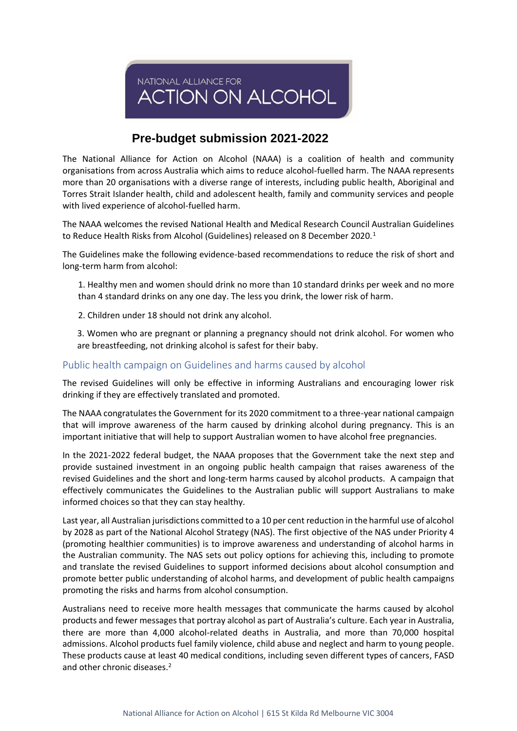NATIONAL ALLIANCE FOR **ACTION ON ALCOHOL** 

# **Pre-budget submission 2021-2022**

The National Alliance for Action on Alcohol (NAAA) is a coalition of health and community organisations from across Australia which aims to reduce alcohol-fuelled harm. The NAAA represents more than 20 organisations with a diverse range of interests, including public health, Aboriginal and Torres Strait Islander health, child and adolescent health, family and community services and people with lived experience of alcohol-fuelled harm.

The NAAA welcomes the revised National Health and Medical Research Council Australian Guidelines to Reduce Health Risks from Alcohol (Guidelines) released on 8 December 2020.<sup>1</sup>

The Guidelines make the following evidence-based recommendations to reduce the risk of short and long-term harm from alcohol:

1. Healthy men and women should drink no more than 10 standard drinks per week and no more than 4 standard drinks on any one day. The less you drink, the lower risk of harm.

2. Children under 18 should not drink any alcohol.

3. Women who are pregnant or planning a pregnancy should not drink alcohol. For women who are breastfeeding, not drinking alcohol is safest for their baby.

### Public health campaign on Guidelines and harms caused by alcohol

The revised Guidelines will only be effective in informing Australians and encouraging lower risk drinking if they are effectively translated and promoted.

The NAAA congratulates the Government for its 2020 commitment to a three-year national campaign that will improve awareness of the harm caused by drinking alcohol during pregnancy. This is an important initiative that will help to support Australian women to have alcohol free pregnancies.

In the 2021-2022 federal budget, the NAAA proposes that the Government take the next step and provide sustained investment in an ongoing public health campaign that raises awareness of the revised Guidelines and the short and long-term harms caused by alcohol products. A campaign that effectively communicates the Guidelines to the Australian public will support Australians to make informed choices so that they can stay healthy.

Last year, all Australian jurisdictions committed to a 10 per cent reduction in the harmful use of alcohol by 2028 as part of the National Alcohol Strategy (NAS). The first objective of the NAS under Priority 4 (promoting healthier communities) is to improve awareness and understanding of alcohol harms in the Australian community. The NAS sets out policy options for achieving this, including to promote and translate the revised Guidelines to support informed decisions about alcohol consumption and promote better public understanding of alcohol harms, and development of public health campaigns promoting the risks and harms from alcohol consumption.

Australians need to receive more health messages that communicate the harms caused by alcohol products and fewer messages that portray alcohol as part of Australia's culture. Each year in Australia, there are more than 4,000 alcohol-related deaths in Australia, and more than 70,000 hospital admissions. Alcohol products fuel family violence, child abuse and neglect and harm to young people. These products cause at least 40 medical conditions, including seven different types of cancers, FASD and other chronic diseases.2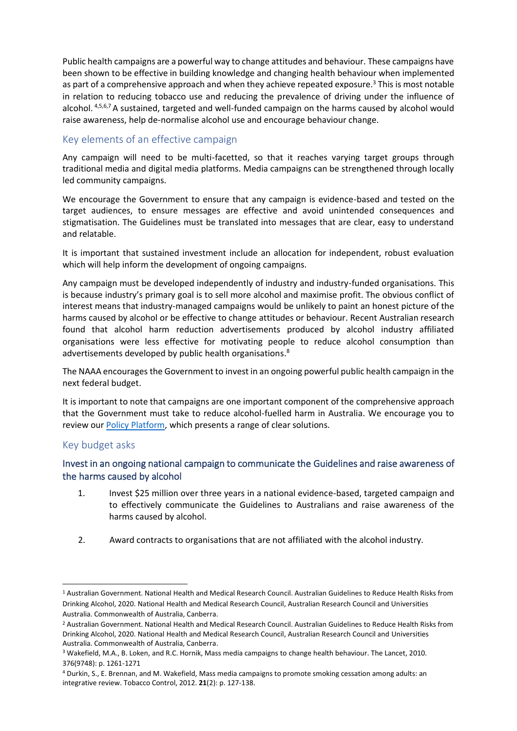Public health campaigns are a powerful way to change attitudes and behaviour. These campaigns have been shown to be effective in building knowledge and changing health behaviour when implemented as part of a comprehensive approach and when they achieve repeated exposure.<sup>3</sup> This is most notable in relation to reducing tobacco use and reducing the prevalence of driving under the influence of alcohol. 4,5,6,7 A sustained, targeted and well-funded campaign on the harms caused by alcohol would raise awareness, help de-normalise alcohol use and encourage behaviour change.

## Key elements of an effective campaign

Any campaign will need to be multi-facetted, so that it reaches varying target groups through traditional media and digital media platforms. Media campaigns can be strengthened through locally led community campaigns.

We encourage the Government to ensure that any campaign is evidence-based and tested on the target audiences, to ensure messages are effective and avoid unintended consequences and stigmatisation. The Guidelines must be translated into messages that are clear, easy to understand and relatable.

It is important that sustained investment include an allocation for independent, robust evaluation which will help inform the development of ongoing campaigns.

Any campaign must be developed independently of industry and industry-funded organisations. This is because industry's primary goal is to sell more alcohol and maximise profit. The obvious conflict of interest means that industry-managed campaigns would be unlikely to paint an honest picture of the harms caused by alcohol or be effective to change attitudes or behaviour. Recent Australian research found that alcohol harm reduction advertisements produced by alcohol industry affiliated organisations were less effective for motivating people to reduce alcohol consumption than advertisements developed by public health organisations.<sup>8</sup>

The NAAA encourages the Government to invest in an ongoing powerful public health campaign in the next federal budget.

It is important to note that campaigns are one important component of the comprehensive approach that the Government must take to reduce alcohol-fuelled harm in Australia. We encourage you to review our [Policy Platform,](http://actiononalcohol.org.au/our-work/policy-platform/) which presents a range of clear solutions.

#### Key budget asks

## Invest in an ongoing national campaign to communicate the Guidelines and raise awareness of the harms caused by alcohol

- 1. Invest \$25 million over three years in a national evidence-based, targeted campaign and to effectively communicate the Guidelines to Australians and raise awareness of the harms caused by alcohol.
- 2. Award contracts to organisations that are not affiliated with the alcohol industry.

<sup>1</sup> Australian Government. National Health and Medical Research Council. Australian Guidelines to Reduce Health Risks from Drinking Alcohol, 2020. National Health and Medical Research Council, Australian Research Council and Universities Australia. Commonwealth of Australia, Canberra.

<sup>2</sup> Australian Government. National Health and Medical Research Council. Australian Guidelines to Reduce Health Risks from Drinking Alcohol, 2020. National Health and Medical Research Council, Australian Research Council and Universities Australia. Commonwealth of Australia, Canberra.

<sup>3</sup> Wakefield, M.A., B. Loken, and R.C. Hornik, Mass media campaigns to change health behaviour. The Lancet, 2010. 376(9748): p. 1261-1271

<sup>4</sup> Durkin, S., E. Brennan, and M. Wakefield, Mass media campaigns to promote smoking cessation among adults: an integrative review. Tobacco Control, 2012. **21**(2): p. 127-138.